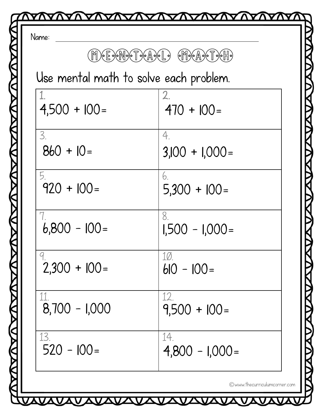|                                        | M) E CANDET DEADEL DE MOCADET DEHD |
|----------------------------------------|------------------------------------|
| Use mental math to solve each problem. |                                    |
| $4,500 + 100 =$                        | 2.<br>$470 + 100 =$                |
| 3.<br>$860 + 10 =$                     | 4.<br>$3,100 + 1,000 =$            |
| 5.<br>$920 + 100 =$                    | 6.<br>$5,300 + 100 =$              |
| $6,800 - 100 =$                        | 8.<br>$1,500 - 1,000 =$            |
| $2,300 + 100 =$                        | <u>1Ø.</u><br>$610 - 100 =$        |
| $8,700 - 1,000$                        | 12.<br>$9,500 + 100 =$             |
| 13.<br>$520 - 100 =$                   | 14.<br>$4,800 - 1,000 =$           |

<u>VAVAVAVAVA</u>

Δ

©www.thecurriculumcorner.com

Δ

<u>VAVAVAVAVAV</u>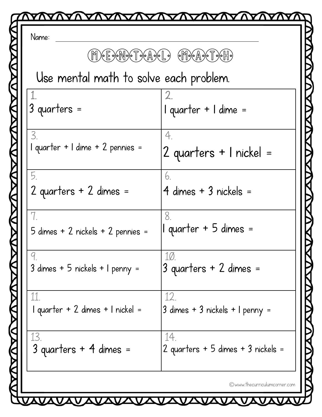| Name:                                  |                                          |
|----------------------------------------|------------------------------------------|
|                                        | M) E CHANGE DEADEL DEMOCADE POHP         |
| Use mental math to solve each problem. |                                          |
| $3$ quarters =                         | I quarter + I dime =                     |
| 3.<br>1 quarter + 1 dime + 2 pennies = | 4.<br>2 quarters + 1 nickel =            |
| 5.<br>2 quarters + 2 dimes =           | 6.<br>4 dimes + 3 nickels =              |
| 5 dimes + 2 nickels + 2 pennies =      | 8.<br>1 quarter + 5 dimes =              |
| 3 dimes + 5 nickels + 1 penny =        | 10.<br>3 quarters + 2 dimes =            |
| 11<br>1 quarter + 2 dimes + 1 nickel = | 12.<br>3 dimes + 3 nickels + 1 penny =   |
| 13<br>$3$ quarters + 4 dimes =         | 14<br>2 quarters + 5 dimes + 3 nickels = |

VAVAVAVAVAVA

VAVA

<u> VAVAVAVA</u>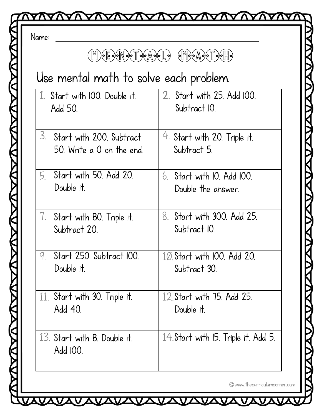| $(eE)$ on $N$ of $T$ or $A$ or $L$ o                     | $(\mathbb{C}[\mathbb{N}]) \circ (\mathbb{A}) \circ (\mathbb{C}[\mathbb{N}]) \circ (\mathbb{N}])$ |  |
|----------------------------------------------------------|--------------------------------------------------------------------------------------------------|--|
| Use mental math to solve each problem.                   |                                                                                                  |  |
| 1. Start with 100. Double it.<br>Add 50.                 | 2. Start with 25. Add 100.<br>Subtract IO.                                                       |  |
| 3. Start with 200. Subtract<br>50. Write a 0 on the end. | 4. Start with 20. Triple it.<br>Subtract 5.                                                      |  |
| Start with 50. Add 20.<br>5.<br>Double it.               | $6.$ Start with 10. Add 100.<br>Double the answer.                                               |  |
| 7. Start with 80. Triple it.<br>Subtract 20.             | 8. Start with 300. Add 25.<br>Subtract IO.                                                       |  |
| Start 250. Subtract 100.<br>9<br>Double it.              | 10. Start with 100. Add 20.<br>Subtract 30.                                                      |  |
| 11. Start with 30. Triple it.<br>Add 40.                 | 12. Start with 75. Add 25.<br>Double it.                                                         |  |
| 13. Start with 8. Double it.<br>Add 100.                 | 14. Start with 15. Triple it. Add 5.                                                             |  |

©www.thecurriculumcorner.com

VAVAVAVA

<u>VAVAVA</u>

V Δ

Δ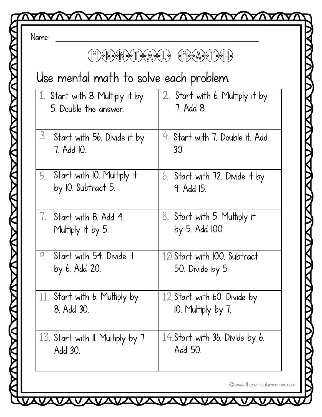| M) E X N X T X A X L X                                   | $(\mathbb{M})\circ (\mathbb{A})\circ \mathbb{T}\circ (\mathbb{M})$ |
|----------------------------------------------------------|--------------------------------------------------------------------|
| Use mental math to solve each problem.                   |                                                                    |
| 1. Start with 8. Multiply it by<br>5. Double the answer. | 2. Start with 6. Multiply it by<br>7. Add 8.                       |
| 3.<br>Start with 56. Divide it by<br>7. Add 10.          | 4. Start with 7. Double it. Add<br>30 <sub>1</sub>                 |
| Start with IO. Multiply it<br>5.<br>by IO. Subtract 5.   | 6. Start with 72. Divide it by<br>9. Add 15.                       |
| 7.<br>Start with 8. Add 4.<br>Multiply it by 5.          | 8. Start with 5. Multiply it<br>by 5. Add 100.                     |
| Start with 54. Divide it<br>9.<br>by <i>b.</i> Add 20.   | 10 Start with 100. Subtract<br>50. Divide by 5.                    |
| Start with 6. Multiply by<br>11.<br>8. Add 30.           | 12. Start with 60. Divide by<br>10. Multiply by 7.                 |
| 13. Start with II. Multiply by 7.<br>Add 30.             | 14. Start with 36. Divide by 6.<br>Add 50.                         |

<u>VAVAVAVAVA</u>

Δ

©www.thecurriculumcorner.com

 $\overline{\bm{\mathsf{v}}}$ 

 $\boldsymbol{\Lambda}$ 

<u> LAVAVAVAV</u>